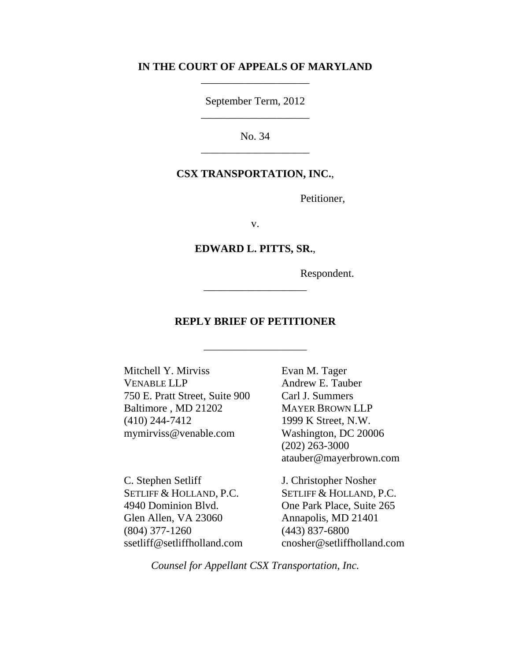### **IN THE COURT OF APPEALS OF MARYLAND** \_\_\_\_\_\_\_\_\_\_\_\_\_\_\_\_\_\_\_\_

September Term, 2012 \_\_\_\_\_\_\_\_\_\_\_\_\_\_\_\_\_\_\_\_

No. 34 \_\_\_\_\_\_\_\_\_\_\_\_\_\_\_\_\_\_\_\_

#### **CSX TRANSPORTATION, INC.**,

Petitioner,

v.

**EDWARD L. PITTS, SR.**,

Respondent.

## **REPLY BRIEF OF PETITIONER**

\_\_\_\_\_\_\_\_\_\_\_\_\_\_\_\_\_\_\_

\_\_\_\_\_\_\_\_\_\_\_\_\_\_\_\_\_\_\_

Mitchell Y. Mirviss VENABLE LLP 750 E. Pratt Street, Suite 900 Baltimore , MD 21202 (410) 244-7412 mymirviss@venable.com

C. Stephen Setliff SETLIFF & HOLLAND, P.C. 4940 Dominion Blvd. Glen Allen, VA 23060 (804) 377-1260 ssetliff@setliffholland.com Evan M. Tager Andrew E. Tauber Carl J. Summers MAYER BROWN LLP 1999 K Street, N.W. Washington, DC 20006 (202) 263-3000 atauber@mayerbrown.com

J. Christopher Nosher SETLIFF & HOLLAND, P.C. One Park Place, Suite 265 Annapolis, MD 21401 (443) 837-6800 cnosher@setliffholland.com

*Counsel for Appellant CSX Transportation, Inc.*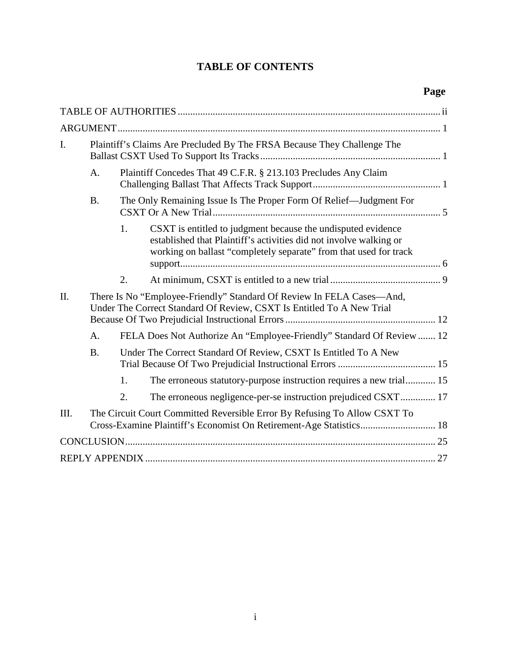# **TABLE OF CONTENTS**

| I.   | Plaintiff's Claims Are Precluded By The FRSA Because They Challenge The                                                                          |                                                                                                                                                |                                                                                                                                                                                                         |  |  |  |  |
|------|--------------------------------------------------------------------------------------------------------------------------------------------------|------------------------------------------------------------------------------------------------------------------------------------------------|---------------------------------------------------------------------------------------------------------------------------------------------------------------------------------------------------------|--|--|--|--|
|      | A.                                                                                                                                               | Plaintiff Concedes That 49 C.F.R. § 213.103 Precludes Any Claim                                                                                |                                                                                                                                                                                                         |  |  |  |  |
|      | <b>B.</b>                                                                                                                                        | The Only Remaining Issue Is The Proper Form Of Relief—Judgment For                                                                             |                                                                                                                                                                                                         |  |  |  |  |
|      |                                                                                                                                                  | 1.                                                                                                                                             | CSXT is entitled to judgment because the undisputed evidence<br>established that Plaintiff's activities did not involve walking or<br>working on ballast "completely separate" from that used for track |  |  |  |  |
|      |                                                                                                                                                  | 2.                                                                                                                                             |                                                                                                                                                                                                         |  |  |  |  |
| II.  |                                                                                                                                                  | There Is No "Employee-Friendly" Standard Of Review In FELA Cases—And,<br>Under The Correct Standard Of Review, CSXT Is Entitled To A New Trial |                                                                                                                                                                                                         |  |  |  |  |
|      | A.                                                                                                                                               |                                                                                                                                                | FELA Does Not Authorize An "Employee-Friendly" Standard Of Review  12                                                                                                                                   |  |  |  |  |
|      | <b>B.</b>                                                                                                                                        | Under The Correct Standard Of Review, CSXT Is Entitled To A New                                                                                |                                                                                                                                                                                                         |  |  |  |  |
|      |                                                                                                                                                  | 1.                                                                                                                                             | The erroneous statutory-purpose instruction requires a new trial 15                                                                                                                                     |  |  |  |  |
|      |                                                                                                                                                  | 2.                                                                                                                                             |                                                                                                                                                                                                         |  |  |  |  |
| III. | The Circuit Court Committed Reversible Error By Refusing To Allow CSXT To<br>Cross-Examine Plaintiff's Economist On Retirement-Age Statistics 18 |                                                                                                                                                |                                                                                                                                                                                                         |  |  |  |  |
|      |                                                                                                                                                  |                                                                                                                                                |                                                                                                                                                                                                         |  |  |  |  |
|      |                                                                                                                                                  |                                                                                                                                                |                                                                                                                                                                                                         |  |  |  |  |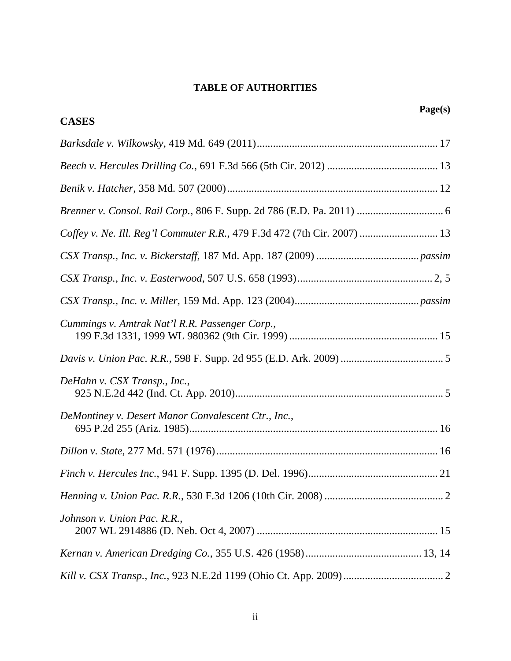## **TABLE OF AUTHORITIES**

|                                                                          | Page(s) |
|--------------------------------------------------------------------------|---------|
| <b>CASES</b>                                                             |         |
|                                                                          |         |
|                                                                          |         |
|                                                                          |         |
|                                                                          |         |
| Coffey v. Ne. Ill. Reg'l Commuter R.R., 479 F.3d 472 (7th Cir. 2007)  13 |         |
|                                                                          |         |
|                                                                          |         |
|                                                                          |         |
| Cummings v. Amtrak Nat'l R.R. Passenger Corp.,                           |         |
|                                                                          |         |
| DeHahn v. CSX Transp., Inc.,                                             |         |
| DeMontiney v. Desert Manor Convalescent Ctr., Inc.,                      |         |
|                                                                          |         |
|                                                                          |         |
|                                                                          |         |
| Johnson v. Union Pac. R.R.,                                              |         |
|                                                                          |         |
|                                                                          |         |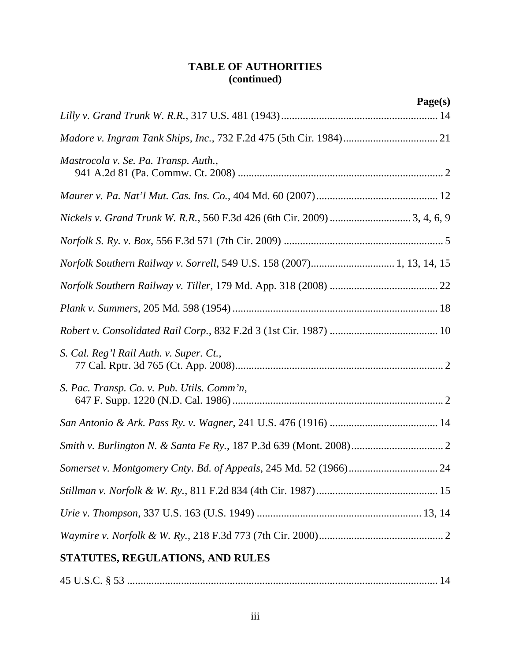# **TABLE OF AUTHORITIES (continued)**

|                                                                        | Page(s) |
|------------------------------------------------------------------------|---------|
|                                                                        |         |
|                                                                        |         |
| Mastrocola v. Se. Pa. Transp. Auth.,                                   |         |
|                                                                        |         |
|                                                                        |         |
|                                                                        |         |
| Norfolk Southern Railway v. Sorrell, 549 U.S. 158 (2007) 1, 13, 14, 15 |         |
|                                                                        |         |
|                                                                        |         |
|                                                                        |         |
| S. Cal. Reg'l Rail Auth. v. Super. Ct.,                                |         |
| S. Pac. Transp. Co. v. Pub. Utils. Comm'n,                             |         |
|                                                                        |         |
|                                                                        |         |
|                                                                        |         |
|                                                                        |         |
|                                                                        |         |
|                                                                        |         |
| STATUTES, REGULATIONS, AND RULES                                       |         |
|                                                                        |         |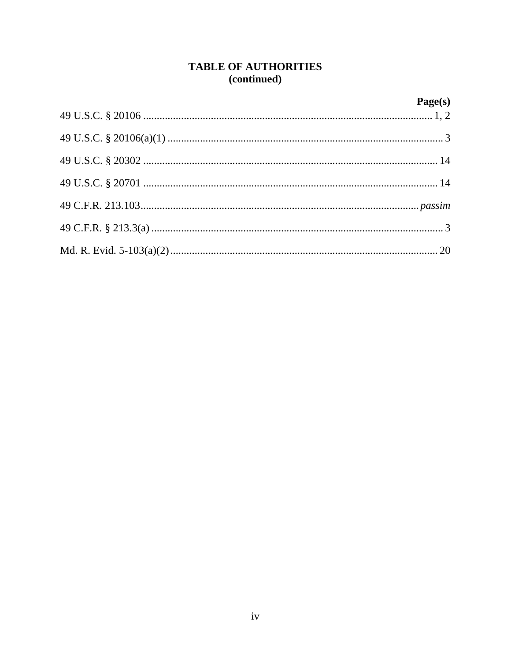## **TABLE OF AUTHORITIES** (continued)

# $Page(s)$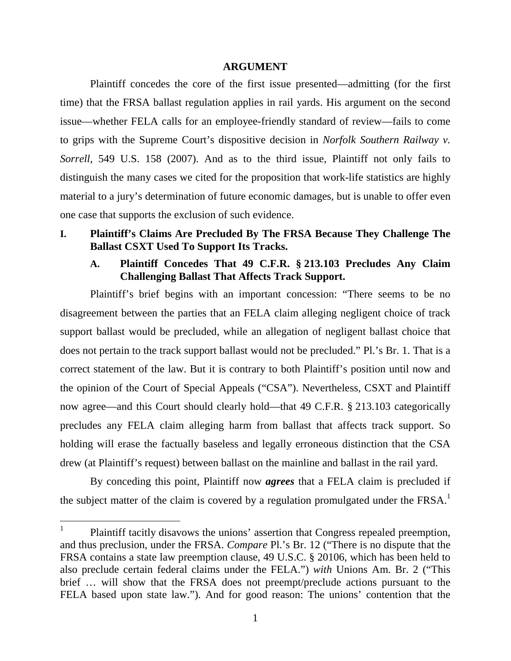#### **ARGUMENT**

Plaintiff concedes the core of the first issue presented—admitting (for the first time) that the FRSA ballast regulation applies in rail yards. His argument on the second issue—whether FELA calls for an employee-friendly standard of review—fails to come to grips with the Supreme Court's dispositive decision in *Norfolk Southern Railway v. Sorrell*, 549 U.S. 158 (2007). And as to the third issue, Plaintiff not only fails to distinguish the many cases we cited for the proposition that work-life statistics are highly material to a jury's determination of future economic damages, but is unable to offer even one case that supports the exclusion of such evidence.

## **I. Plaintiff's Claims Are Precluded By The FRSA Because They Challenge The Ballast CSXT Used To Support Its Tracks.**

### **A. Plaintiff Concedes That 49 C.F.R. § 213.103 Precludes Any Claim Challenging Ballast That Affects Track Support.**

Plaintiff's brief begins with an important concession: "There seems to be no disagreement between the parties that an FELA claim alleging negligent choice of track support ballast would be precluded, while an allegation of negligent ballast choice that does not pertain to the track support ballast would not be precluded." Pl.'s Br. 1. That is a correct statement of the law. But it is contrary to both Plaintiff's position until now and the opinion of the Court of Special Appeals ("CSA"). Nevertheless, CSXT and Plaintiff now agree—and this Court should clearly hold—that 49 C.F.R. § 213.103 categorically precludes any FELA claim alleging harm from ballast that affects track support. So holding will erase the factually baseless and legally erroneous distinction that the CSA drew (at Plaintiff's request) between ballast on the mainline and ballast in the rail yard.

By conceding this point, Plaintiff now *agrees* that a FELA claim is precluded if the subject matter of the claim is covered by a regulation promulgated under the FRSA.<sup>1</sup>

<sup>1</sup> Plaintiff tacitly disavows the unions' assertion that Congress repealed preemption, and thus preclusion, under the FRSA. *Compare* Pl.'s Br. 12 ("There is no dispute that the FRSA contains a state law preemption clause, 49 U.S.C. § 20106, which has been held to also preclude certain federal claims under the FELA.") *with* Unions Am. Br. 2 ("This brief … will show that the FRSA does not preempt/preclude actions pursuant to the FELA based upon state law."). And for good reason: The unions' contention that the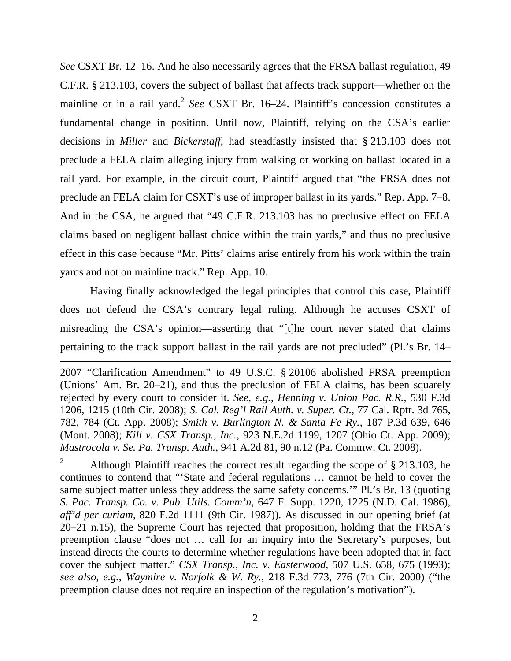*See* CSXT Br. 12–16. And he also necessarily agrees that the FRSA ballast regulation, 49 C.F.R. § 213.103, covers the subject of ballast that affects track support—whether on the mainline or in a rail yard.<sup>2</sup> See CSXT Br. 16–24. Plaintiff's concession constitutes a fundamental change in position. Until now, Plaintiff, relying on the CSA's earlier decisions in *Miller* and *Bickerstaff*, had steadfastly insisted that § 213.103 does not preclude a FELA claim alleging injury from walking or working on ballast located in a rail yard. For example, in the circuit court, Plaintiff argued that "the FRSA does not preclude an FELA claim for CSXT's use of improper ballast in its yards." Rep. App. 7–8. And in the CSA, he argued that "49 C.F.R. 213.103 has no preclusive effect on FELA claims based on negligent ballast choice within the train yards," and thus no preclusive effect in this case because "Mr. Pitts' claims arise entirely from his work within the train yards and not on mainline track." Rep. App. 10.

Having finally acknowledged the legal principles that control this case, Plaintiff does not defend the CSA's contrary legal ruling. Although he accuses CSXT of misreading the CSA's opinion—asserting that "[t]he court never stated that claims pertaining to the track support ballast in the rail yards are not precluded" (Pl.'s Br. 14–

2007 "Clarification Amendment" to 49 U.S.C. § 20106 abolished FRSA preemption (Unions' Am. Br. 20–21), and thus the preclusion of FELA claims, has been squarely rejected by every court to consider it. *See, e.g.*, *Henning v. Union Pac. R.R.*, 530 F.3d 1206, 1215 (10th Cir. 2008); *S. Cal. Reg'l Rail Auth. v. Super. Ct.*, 77 Cal. Rptr. 3d 765, 782, 784 (Ct. App. 2008); *Smith v. Burlington N. & Santa Fe Ry.*, 187 P.3d 639, 646 (Mont. 2008); *Kill v. CSX Transp., Inc.*, 923 N.E.2d 1199, 1207 (Ohio Ct. App. 2009); *Mastrocola v. Se. Pa. Transp. Auth.*, 941 A.2d 81, 90 n.12 (Pa. Commw. Ct. 2008).

<sup>2</sup> Although Plaintiff reaches the correct result regarding the scope of  $\S 213.103$ , he continues to contend that "'State and federal regulations … cannot be held to cover the same subject matter unless they address the same safety concerns.'" Pl.'s Br. 13 (quoting *S. Pac. Transp. Co. v. Pub. Utils. Comm'n*, 647 F. Supp. 1220, 1225 (N.D. Cal. 1986), *aff'd per curiam*, 820 F.2d 1111 (9th Cir. 1987)). As discussed in our opening brief (at 20–21 n.15), the Supreme Court has rejected that proposition, holding that the FRSA's preemption clause "does not … call for an inquiry into the Secretary's purposes, but instead directs the courts to determine whether regulations have been adopted that in fact cover the subject matter." *CSX Transp., Inc. v. Easterwood*, 507 U.S. 658, 675 (1993); *see also, e.g.*, *Waymire v. Norfolk & W. Ry.*, 218 F.3d 773, 776 (7th Cir. 2000) ("the preemption clause does not require an inspection of the regulation's motivation").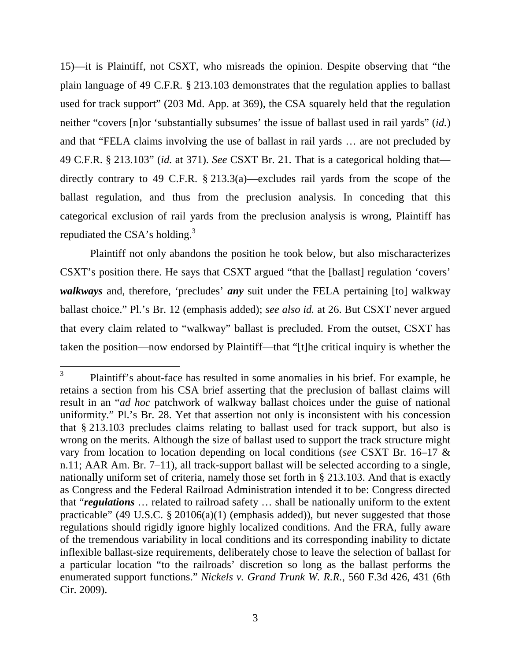15)—it is Plaintiff, not CSXT, who misreads the opinion. Despite observing that "the plain language of 49 C.F.R. § 213.103 demonstrates that the regulation applies to ballast used for track support" (203 Md. App. at 369), the CSA squarely held that the regulation neither "covers [n]or 'substantially subsumes' the issue of ballast used in rail yards" (*id.*) and that "FELA claims involving the use of ballast in rail yards … are not precluded by 49 C.F.R. § 213.103" (*id.* at 371). *See* CSXT Br. 21. That is a categorical holding that directly contrary to 49 C.F.R. § 213.3(a)—excludes rail yards from the scope of the ballast regulation, and thus from the preclusion analysis. In conceding that this categorical exclusion of rail yards from the preclusion analysis is wrong, Plaintiff has repudiated the  $CSA's$  holding.<sup>3</sup>

Plaintiff not only abandons the position he took below, but also mischaracterizes CSXT's position there. He says that CSXT argued "that the [ballast] regulation 'covers' *walkways* and, therefore, 'precludes' *any* suit under the FELA pertaining [to] walkway ballast choice." Pl.'s Br. 12 (emphasis added); *see also id.* at 26. But CSXT never argued that every claim related to "walkway" ballast is precluded. From the outset, CSXT has taken the position—now endorsed by Plaintiff—that "[t]he critical inquiry is whether the

<sup>3</sup> Plaintiff's about-face has resulted in some anomalies in his brief. For example, he retains a section from his CSA brief asserting that the preclusion of ballast claims will result in an "*ad hoc* patchwork of walkway ballast choices under the guise of national uniformity." Pl.'s Br. 28. Yet that assertion not only is inconsistent with his concession that § 213.103 precludes claims relating to ballast used for track support, but also is wrong on the merits. Although the size of ballast used to support the track structure might vary from location to location depending on local conditions (*see* CSXT Br. 16–17 & n.11; AAR Am. Br. 7–11), all track-support ballast will be selected according to a single, nationally uniform set of criteria, namely those set forth in § 213.103. And that is exactly as Congress and the Federal Railroad Administration intended it to be: Congress directed that "*regulations* … related to railroad safety … shall be nationally uniform to the extent practicable" (49 U.S.C. § 20106(a)(1) (emphasis added)), but never suggested that those regulations should rigidly ignore highly localized conditions. And the FRA, fully aware of the tremendous variability in local conditions and its corresponding inability to dictate inflexible ballast-size requirements, deliberately chose to leave the selection of ballast for a particular location "to the railroads' discretion so long as the ballast performs the enumerated support functions." *Nickels v. Grand Trunk W. R.R.*, 560 F.3d 426, 431 (6th Cir. 2009).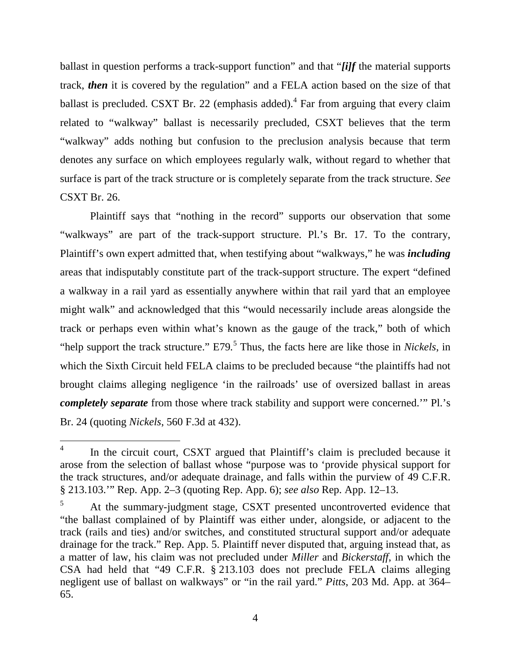ballast in question performs a track-support function" and that "*[i]f* the material supports track, *then* it is covered by the regulation" and a FELA action based on the size of that ballast is precluded. CSXT Br. 22 (emphasis added). $<sup>4</sup>$  Far from arguing that every claim</sup> related to "walkway" ballast is necessarily precluded, CSXT believes that the term "walkway" adds nothing but confusion to the preclusion analysis because that term denotes any surface on which employees regularly walk, without regard to whether that surface is part of the track structure or is completely separate from the track structure. *See* CSXT Br. 26.

Plaintiff says that "nothing in the record" supports our observation that some "walkways" are part of the track-support structure. Pl.'s Br. 17. To the contrary, Plaintiff's own expert admitted that, when testifying about "walkways," he was *including* areas that indisputably constitute part of the track-support structure. The expert "defined a walkway in a rail yard as essentially anywhere within that rail yard that an employee might walk" and acknowledged that this "would necessarily include areas alongside the track or perhaps even within what's known as the gauge of the track," both of which "help support the track structure." E79*.* 5 Thus, the facts here are like those in *Nickels*, in which the Sixth Circuit held FELA claims to be precluded because "the plaintiffs had not brought claims alleging negligence 'in the railroads' use of oversized ballast in areas *completely separate* from those where track stability and support were concerned.'" Pl.'s Br. 24 (quoting *Nickels*, 560 F.3d at 432).

<sup>4</sup> In the circuit court, CSXT argued that Plaintiff's claim is precluded because it arose from the selection of ballast whose "purpose was to 'provide physical support for the track structures, and/or adequate drainage, and falls within the purview of 49 C.F.R. § 213.103.'" Rep. App. 2–3 (quoting Rep. App. 6); *see also* Rep. App. 12–13.

<sup>5</sup> At the summary-judgment stage, CSXT presented uncontroverted evidence that "the ballast complained of by Plaintiff was either under, alongside, or adjacent to the track (rails and ties) and/or switches, and constituted structural support and/or adequate drainage for the track." Rep. App. 5. Plaintiff never disputed that, arguing instead that, as a matter of law, his claim was not precluded under *Miller* and *Bickerstaff*, in which the CSA had held that "49 C.F.R. § 213.103 does not preclude FELA claims alleging negligent use of ballast on walkways" or "in the rail yard." *Pitts*, 203 Md. App. at 364– 65.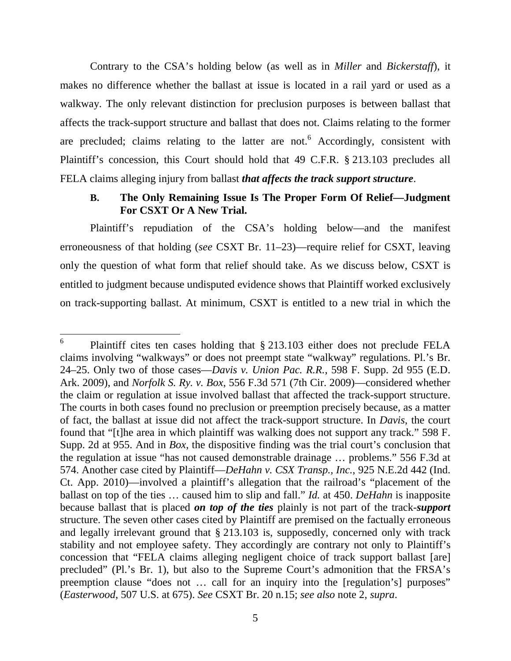Contrary to the CSA's holding below (as well as in *Miller* and *Bickerstaff*), it makes no difference whether the ballast at issue is located in a rail yard or used as a walkway. The only relevant distinction for preclusion purposes is between ballast that affects the track-support structure and ballast that does not. Claims relating to the former are precluded; claims relating to the latter are not.<sup>6</sup> Accordingly, consistent with Plaintiff's concession, this Court should hold that 49 C.F.R. § 213.103 precludes all FELA claims alleging injury from ballast *that affects the track support structure*.

## **B. The Only Remaining Issue Is The Proper Form Of Relief—Judgment For CSXT Or A New Trial.**

Plaintiff's repudiation of the CSA's holding below—and the manifest erroneousness of that holding (*see* CSXT Br. 11–23)—require relief for CSXT, leaving only the question of what form that relief should take. As we discuss below, CSXT is entitled to judgment because undisputed evidence shows that Plaintiff worked exclusively on track-supporting ballast. At minimum, CSXT is entitled to a new trial in which the

<sup>6</sup> Plaintiff cites ten cases holding that § 213.103 either does not preclude FELA claims involving "walkways" or does not preempt state "walkway" regulations. Pl.'s Br. 24–25. Only two of those cases—*Davis v. Union Pac. R.R.*, 598 F. Supp. 2d 955 (E.D. Ark. 2009), and *Norfolk S. Ry. v. Box*, 556 F.3d 571 (7th Cir. 2009)—considered whether the claim or regulation at issue involved ballast that affected the track-support structure. The courts in both cases found no preclusion or preemption precisely because, as a matter of fact, the ballast at issue did not affect the track-support structure. In *Davis*, the court found that "[t]he area in which plaintiff was walking does not support any track." 598 F. Supp. 2d at 955. And in *Box*, the dispositive finding was the trial court's conclusion that the regulation at issue "has not caused demonstrable drainage … problems." 556 F.3d at 574. Another case cited by Plaintiff—*DeHahn v. CSX Transp., Inc.*, 925 N.E.2d 442 (Ind. Ct. App. 2010)—involved a plaintiff's allegation that the railroad's "placement of the ballast on top of the ties … caused him to slip and fall." *Id.* at 450. *DeHahn* is inapposite because ballast that is placed *on top of the ties* plainly is not part of the track-*support* structure. The seven other cases cited by Plaintiff are premised on the factually erroneous and legally irrelevant ground that § 213.103 is, supposedly, concerned only with track stability and not employee safety. They accordingly are contrary not only to Plaintiff's concession that "FELA claims alleging negligent choice of track support ballast [are] precluded" (Pl.'s Br. 1), but also to the Supreme Court's admonition that the FRSA's preemption clause "does not … call for an inquiry into the [regulation's] purposes" (*Easterwood*, 507 U.S. at 675). *See* CSXT Br. 20 n.15; *see also* note 2, *supra*.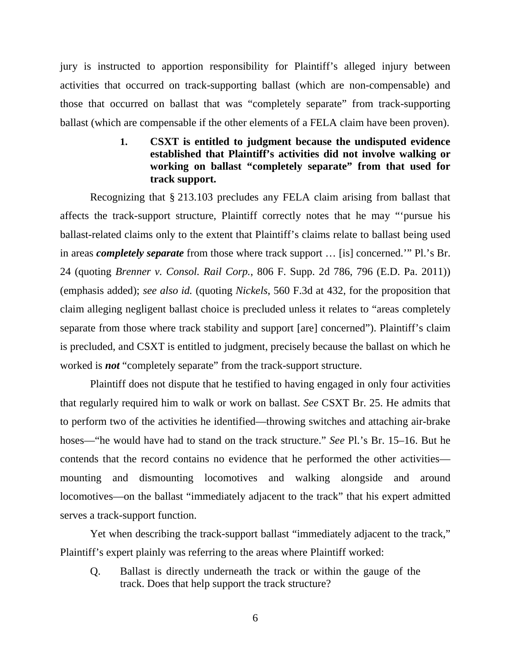jury is instructed to apportion responsibility for Plaintiff's alleged injury between activities that occurred on track-supporting ballast (which are non-compensable) and those that occurred on ballast that was "completely separate" from track-supporting ballast (which are compensable if the other elements of a FELA claim have been proven).

## **1. CSXT is entitled to judgment because the undisputed evidence established that Plaintiff's activities did not involve walking or working on ballast "completely separate" from that used for track support.**

Recognizing that § 213.103 precludes any FELA claim arising from ballast that affects the track-support structure, Plaintiff correctly notes that he may "'pursue his ballast-related claims only to the extent that Plaintiff's claims relate to ballast being used in areas *completely separate* from those where track support … [is] concerned.'" Pl.'s Br. 24 (quoting *Brenner v. Consol. Rail Corp.*, 806 F. Supp. 2d 786, 796 (E.D. Pa. 2011)) (emphasis added); *see also id.* (quoting *Nickels*, 560 F.3d at 432, for the proposition that claim alleging negligent ballast choice is precluded unless it relates to "areas completely separate from those where track stability and support [are] concerned"). Plaintiff's claim is precluded, and CSXT is entitled to judgment, precisely because the ballast on which he worked is *not* "completely separate" from the track-support structure.

Plaintiff does not dispute that he testified to having engaged in only four activities that regularly required him to walk or work on ballast. *See* CSXT Br. 25. He admits that to perform two of the activities he identified—throwing switches and attaching air-brake hoses—"he would have had to stand on the track structure." *See* Pl.'s Br. 15–16. But he contends that the record contains no evidence that he performed the other activities mounting and dismounting locomotives and walking alongside and around locomotives—on the ballast "immediately adjacent to the track" that his expert admitted serves a track-support function.

Yet when describing the track-support ballast "immediately adjacent to the track," Plaintiff's expert plainly was referring to the areas where Plaintiff worked:

Q. Ballast is directly underneath the track or within the gauge of the track. Does that help support the track structure?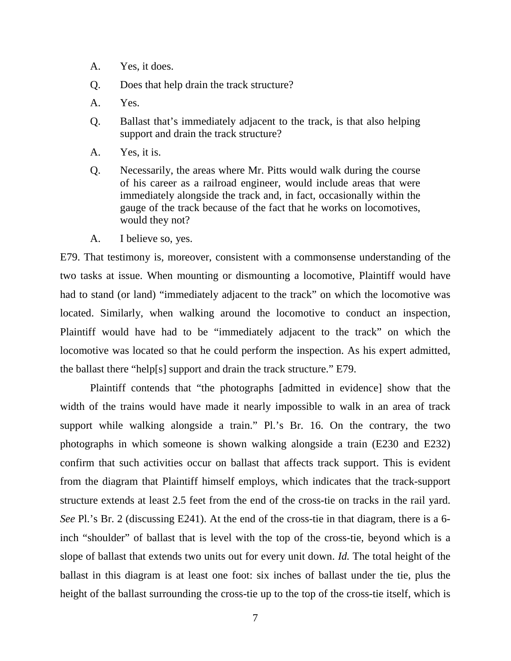- A. Yes, it does.
- Q. Does that help drain the track structure?
- A. Yes.
- Q. Ballast that's immediately adjacent to the track, is that also helping support and drain the track structure?
- A. Yes, it is.
- Q. Necessarily, the areas where Mr. Pitts would walk during the course of his career as a railroad engineer, would include areas that were immediately alongside the track and, in fact, occasionally within the gauge of the track because of the fact that he works on locomotives, would they not?
- A. I believe so, yes.

E79. That testimony is, moreover, consistent with a commonsense understanding of the two tasks at issue. When mounting or dismounting a locomotive, Plaintiff would have had to stand (or land) "immediately adjacent to the track" on which the locomotive was located. Similarly, when walking around the locomotive to conduct an inspection, Plaintiff would have had to be "immediately adjacent to the track" on which the locomotive was located so that he could perform the inspection. As his expert admitted, the ballast there "help[s] support and drain the track structure." E79.

Plaintiff contends that "the photographs [admitted in evidence] show that the width of the trains would have made it nearly impossible to walk in an area of track support while walking alongside a train." Pl.'s Br. 16. On the contrary, the two photographs in which someone is shown walking alongside a train (E230 and E232) confirm that such activities occur on ballast that affects track support. This is evident from the diagram that Plaintiff himself employs, which indicates that the track-support structure extends at least 2.5 feet from the end of the cross-tie on tracks in the rail yard. *See* Pl.'s Br. 2 (discussing E241). At the end of the cross-tie in that diagram, there is a 6 inch "shoulder" of ballast that is level with the top of the cross-tie, beyond which is a slope of ballast that extends two units out for every unit down. *Id.* The total height of the ballast in this diagram is at least one foot: six inches of ballast under the tie, plus the height of the ballast surrounding the cross-tie up to the top of the cross-tie itself, which is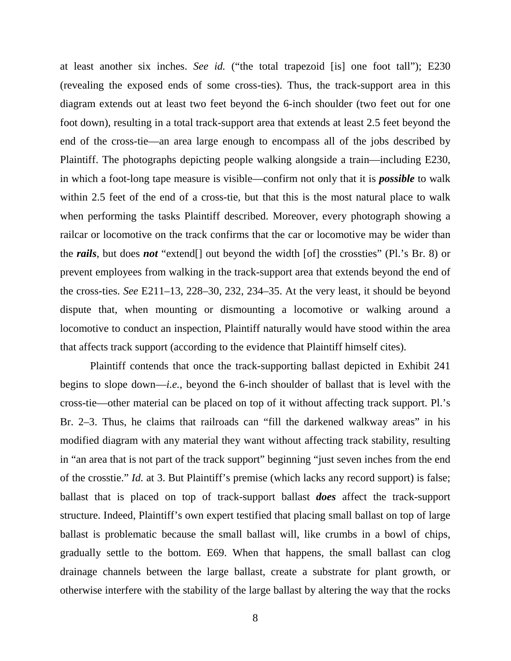at least another six inches. *See id.* ("the total trapezoid [is] one foot tall"); E230 (revealing the exposed ends of some cross-ties). Thus, the track-support area in this diagram extends out at least two feet beyond the 6-inch shoulder (two feet out for one foot down), resulting in a total track-support area that extends at least 2.5 feet beyond the end of the cross-tie—an area large enough to encompass all of the jobs described by Plaintiff. The photographs depicting people walking alongside a train—including E230, in which a foot-long tape measure is visible—confirm not only that it is *possible* to walk within 2.5 feet of the end of a cross-tie, but that this is the most natural place to walk when performing the tasks Plaintiff described. Moreover, every photograph showing a railcar or locomotive on the track confirms that the car or locomotive may be wider than the *rails*, but does *not* "extend[] out beyond the width [of] the crossties" (Pl.'s Br. 8) or prevent employees from walking in the track-support area that extends beyond the end of the cross-ties. *See* E211–13, 228–30, 232, 234–35. At the very least, it should be beyond dispute that, when mounting or dismounting a locomotive or walking around a locomotive to conduct an inspection, Plaintiff naturally would have stood within the area that affects track support (according to the evidence that Plaintiff himself cites).

Plaintiff contends that once the track-supporting ballast depicted in Exhibit 241 begins to slope down—*i.e.*, beyond the 6-inch shoulder of ballast that is level with the cross-tie—other material can be placed on top of it without affecting track support. Pl.'s Br. 2–3. Thus, he claims that railroads can "fill the darkened walkway areas" in his modified diagram with any material they want without affecting track stability, resulting in "an area that is not part of the track support" beginning "just seven inches from the end of the crosstie." *Id.* at 3. But Plaintiff's premise (which lacks any record support) is false; ballast that is placed on top of track-support ballast *does* affect the track-support structure. Indeed, Plaintiff's own expert testified that placing small ballast on top of large ballast is problematic because the small ballast will, like crumbs in a bowl of chips, gradually settle to the bottom. E69. When that happens, the small ballast can clog drainage channels between the large ballast, create a substrate for plant growth, or otherwise interfere with the stability of the large ballast by altering the way that the rocks

8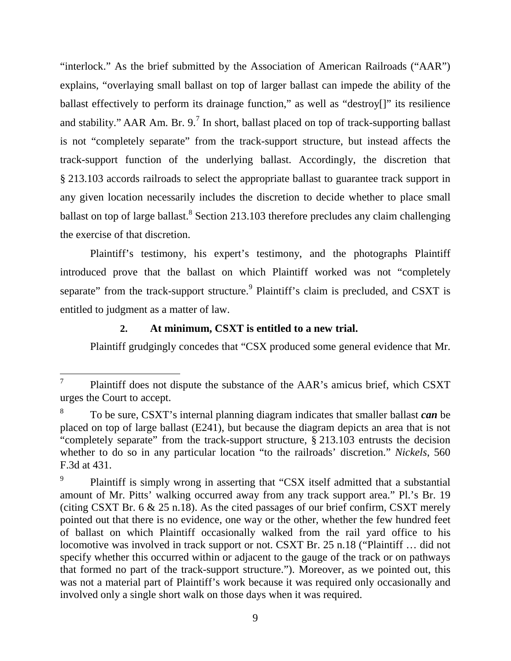"interlock." As the brief submitted by the Association of American Railroads ("AAR") explains, "overlaying small ballast on top of larger ballast can impede the ability of the ballast effectively to perform its drainage function," as well as "destroy[]" its resilience and stability." AAR Am. Br. 9.<sup>7</sup> In short, ballast placed on top of track-supporting ballast is not "completely separate" from the track-support structure, but instead affects the track-support function of the underlying ballast. Accordingly, the discretion that § 213.103 accords railroads to select the appropriate ballast to guarantee track support in any given location necessarily includes the discretion to decide whether to place small ballast on top of large ballast.<sup>8</sup> Section 213.103 therefore precludes any claim challenging the exercise of that discretion.

Plaintiff's testimony, his expert's testimony, and the photographs Plaintiff introduced prove that the ballast on which Plaintiff worked was not "completely separate" from the track-support structure. <sup>9</sup> Plaintiff's claim is precluded, and CSXT is entitled to judgment as a matter of law.

#### **2. At minimum, CSXT is entitled to a new trial.**

Plaintiff grudgingly concedes that "CSX produced some general evidence that Mr.

<sup>7</sup> Plaintiff does not dispute the substance of the AAR's amicus brief, which CSXT urges the Court to accept.

<sup>8</sup> To be sure, CSXT's internal planning diagram indicates that smaller ballast *can* be placed on top of large ballast (E241), but because the diagram depicts an area that is not "completely separate" from the track-support structure, § 213.103 entrusts the decision whether to do so in any particular location "to the railroads' discretion." *Nickels*, 560 F.3d at 431.

<sup>9</sup> Plaintiff is simply wrong in asserting that "CSX itself admitted that a substantial amount of Mr. Pitts' walking occurred away from any track support area." Pl.'s Br. 19 (citing CSXT Br. 6 & 25 n.18). As the cited passages of our brief confirm, CSXT merely pointed out that there is no evidence, one way or the other, whether the few hundred feet of ballast on which Plaintiff occasionally walked from the rail yard office to his locomotive was involved in track support or not. CSXT Br. 25 n.18 ("Plaintiff ... did not specify whether this occurred within or adjacent to the gauge of the track or on pathways that formed no part of the track-support structure."). Moreover, as we pointed out, this was not a material part of Plaintiff's work because it was required only occasionally and involved only a single short walk on those days when it was required.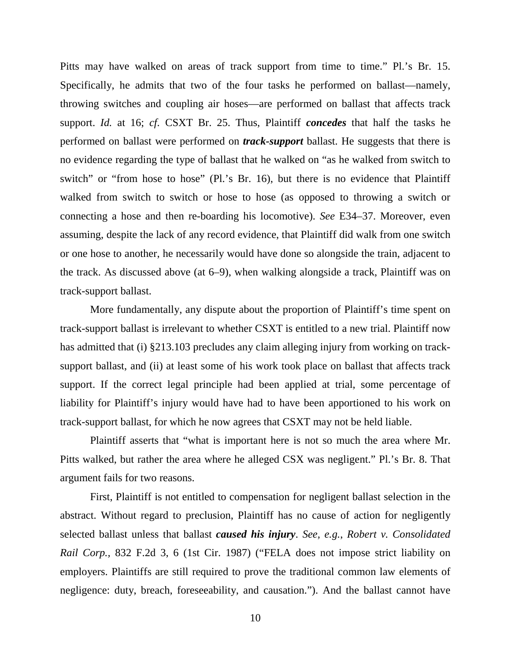Pitts may have walked on areas of track support from time to time." Pl.'s Br. 15. Specifically, he admits that two of the four tasks he performed on ballast—namely, throwing switches and coupling air hoses—are performed on ballast that affects track support. *Id.* at 16; *cf.* CSXT Br. 25. Thus, Plaintiff *concedes* that half the tasks he performed on ballast were performed on *track-support* ballast. He suggests that there is no evidence regarding the type of ballast that he walked on "as he walked from switch to switch" or "from hose to hose" (Pl.'s Br. 16), but there is no evidence that Plaintiff walked from switch to switch or hose to hose (as opposed to throwing a switch or connecting a hose and then re-boarding his locomotive). *See* E34–37. Moreover, even assuming, despite the lack of any record evidence, that Plaintiff did walk from one switch or one hose to another, he necessarily would have done so alongside the train, adjacent to the track. As discussed above (at 6–9), when walking alongside a track, Plaintiff was on track-support ballast.

More fundamentally, any dispute about the proportion of Plaintiff's time spent on track-support ballast is irrelevant to whether CSXT is entitled to a new trial. Plaintiff now has admitted that (i) §213.103 precludes any claim alleging injury from working on tracksupport ballast, and (ii) at least some of his work took place on ballast that affects track support. If the correct legal principle had been applied at trial, some percentage of liability for Plaintiff's injury would have had to have been apportioned to his work on track-support ballast, for which he now agrees that CSXT may not be held liable.

Plaintiff asserts that "what is important here is not so much the area where Mr. Pitts walked, but rather the area where he alleged CSX was negligent." Pl.'s Br. 8. That argument fails for two reasons.

First, Plaintiff is not entitled to compensation for negligent ballast selection in the abstract. Without regard to preclusion, Plaintiff has no cause of action for negligently selected ballast unless that ballast *caused his injury*. *See, e.g.*, *Robert v. Consolidated Rail Corp.,* 832 F.2d 3, 6 (1st Cir. 1987) ("FELA does not impose strict liability on employers. Plaintiffs are still required to prove the traditional common law elements of negligence: duty, breach, foreseeability, and causation."). And the ballast cannot have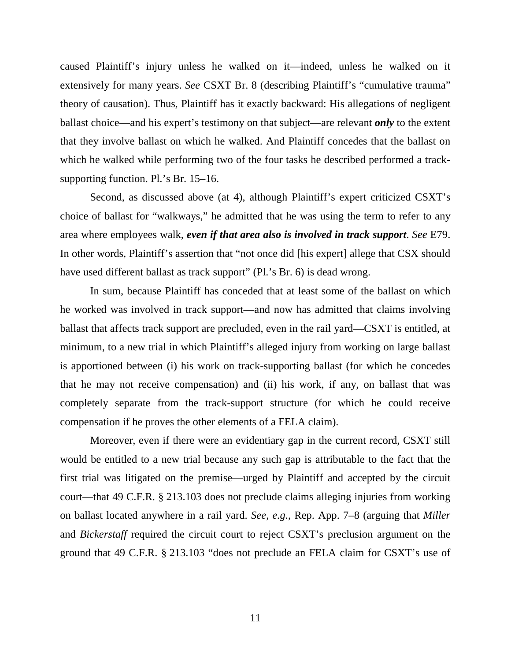caused Plaintiff's injury unless he walked on it—indeed, unless he walked on it extensively for many years. *See* CSXT Br. 8 (describing Plaintiff's "cumulative trauma" theory of causation). Thus, Plaintiff has it exactly backward: His allegations of negligent ballast choice—and his expert's testimony on that subject—are relevant *only* to the extent that they involve ballast on which he walked. And Plaintiff concedes that the ballast on which he walked while performing two of the four tasks he described performed a tracksupporting function. Pl.'s Br. 15–16.

Second, as discussed above (at 4), although Plaintiff's expert criticized CSXT's choice of ballast for "walkways," he admitted that he was using the term to refer to any area where employees walk, *even if that area also is involved in track support*. *See* E79. In other words, Plaintiff's assertion that "not once did [his expert] allege that CSX should have used different ballast as track support" (Pl.'s Br. 6) is dead wrong.

In sum, because Plaintiff has conceded that at least some of the ballast on which he worked was involved in track support—and now has admitted that claims involving ballast that affects track support are precluded, even in the rail yard—CSXT is entitled, at minimum, to a new trial in which Plaintiff's alleged injury from working on large ballast is apportioned between (i) his work on track-supporting ballast (for which he concedes that he may not receive compensation) and (ii) his work, if any, on ballast that was completely separate from the track-support structure (for which he could receive compensation if he proves the other elements of a FELA claim).

Moreover, even if there were an evidentiary gap in the current record, CSXT still would be entitled to a new trial because any such gap is attributable to the fact that the first trial was litigated on the premise—urged by Plaintiff and accepted by the circuit court—that 49 C.F.R. § 213.103 does not preclude claims alleging injuries from working on ballast located anywhere in a rail yard. *See, e.g.*, Rep. App. 7–8 (arguing that *Miller* and *Bickerstaff* required the circuit court to reject CSXT's preclusion argument on the ground that 49 C.F.R. § 213.103 "does not preclude an FELA claim for CSXT's use of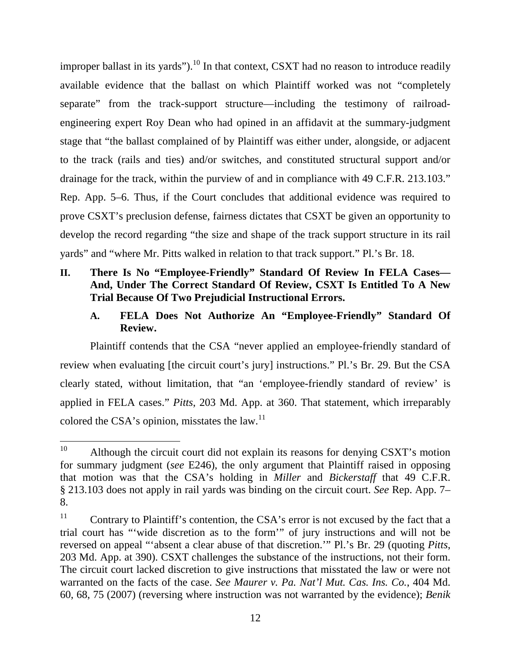improper ballast in its yards").<sup>10</sup> In that context, CSXT had no reason to introduce readily available evidence that the ballast on which Plaintiff worked was not "completely separate" from the track-support structure—including the testimony of railroadengineering expert Roy Dean who had opined in an affidavit at the summary-judgment stage that "the ballast complained of by Plaintiff was either under, alongside, or adjacent to the track (rails and ties) and/or switches, and constituted structural support and/or drainage for the track, within the purview of and in compliance with 49 C.F.R. 213.103." Rep. App. 5–6. Thus, if the Court concludes that additional evidence was required to prove CSXT's preclusion defense, fairness dictates that CSXT be given an opportunity to develop the record regarding "the size and shape of the track support structure in its rail yards" and "where Mr. Pitts walked in relation to that track support." Pl.'s Br. 18.

## **II. There Is No "Employee-Friendly" Standard Of Review In FELA Cases— And, Under The Correct Standard Of Review, CSXT Is Entitled To A New Trial Because Of Two Prejudicial Instructional Errors.**

## **A. FELA Does Not Authorize An "Employee-Friendly" Standard Of Review.**

Plaintiff contends that the CSA "never applied an employee-friendly standard of review when evaluating [the circuit court's jury] instructions." Pl.'s Br. 29. But the CSA clearly stated, without limitation, that "an 'employee-friendly standard of review' is applied in FELA cases." *Pitts*, 203 Md. App. at 360. That statement, which irreparably colored the CSA's opinion, misstates the law.<sup>11</sup>

<sup>&</sup>lt;sup>10</sup> Although the circuit court did not explain its reasons for denying CSXT's motion for summary judgment (*see* E246), the only argument that Plaintiff raised in opposing that motion was that the CSA's holding in *Miller* and *Bickerstaff* that 49 C.F.R. § 213.103 does not apply in rail yards was binding on the circuit court. *See* Rep. App. 7– 8.

<sup>&</sup>lt;sup>11</sup> Contrary to Plaintiff's contention, the CSA's error is not excused by the fact that a trial court has "'wide discretion as to the form'" of jury instructions and will not be reversed on appeal "'absent a clear abuse of that discretion.'" Pl.'s Br. 29 (quoting *Pitts*, 203 Md. App. at 390). CSXT challenges the substance of the instructions, not their form. The circuit court lacked discretion to give instructions that misstated the law or were not warranted on the facts of the case. *See Maurer v. Pa. Nat'l Mut. Cas. Ins. Co.*, 404 Md. 60, 68, 75 (2007) (reversing where instruction was not warranted by the evidence); *Benik*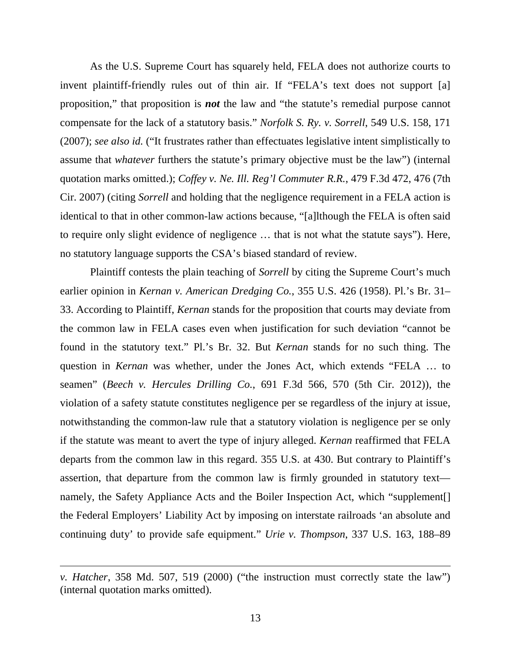As the U.S. Supreme Court has squarely held, FELA does not authorize courts to invent plaintiff-friendly rules out of thin air. If "FELA's text does not support [a] proposition," that proposition is *not* the law and "the statute's remedial purpose cannot compensate for the lack of a statutory basis." *Norfolk S. Ry. v. Sorrell*, 549 U.S. 158, 171 (2007); *see also id.* ("It frustrates rather than effectuates legislative intent simplistically to assume that *whatever* furthers the statute's primary objective must be the law") (internal quotation marks omitted.); *Coffey v. Ne. Ill. Reg'l Commuter R.R.*, 479 F.3d 472, 476 (7th Cir. 2007) (citing *Sorrell* and holding that the negligence requirement in a FELA action is identical to that in other common-law actions because, "[a]lthough the FELA is often said to require only slight evidence of negligence … that is not what the statute says"). Here, no statutory language supports the CSA's biased standard of review.

Plaintiff contests the plain teaching of *Sorrell* by citing the Supreme Court's much earlier opinion in *Kernan v. American Dredging Co.*, 355 U.S. 426 (1958). Pl.'s Br. 31– 33. According to Plaintiff, *Kernan* stands for the proposition that courts may deviate from the common law in FELA cases even when justification for such deviation "cannot be found in the statutory text." Pl.'s Br. 32. But *Kernan* stands for no such thing. The question in *Kernan* was whether, under the Jones Act, which extends "FELA … to seamen" (*Beech v. Hercules Drilling Co.*, 691 F.3d 566, 570 (5th Cir. 2012)), the violation of a safety statute constitutes negligence per se regardless of the injury at issue, notwithstanding the common-law rule that a statutory violation is negligence per se only if the statute was meant to avert the type of injury alleged. *Kernan* reaffirmed that FELA departs from the common law in this regard. 355 U.S. at 430. But contrary to Plaintiff's assertion, that departure from the common law is firmly grounded in statutory text namely, the Safety Appliance Acts and the Boiler Inspection Act, which "supplement<sup>[]</sup> the Federal Employers' Liability Act by imposing on interstate railroads 'an absolute and continuing duty' to provide safe equipment." *Urie v. Thompson*, 337 U.S. 163, 188–89

*v. Hatcher*, 358 Md. 507, 519 (2000) ("the instruction must correctly state the law") (internal quotation marks omitted).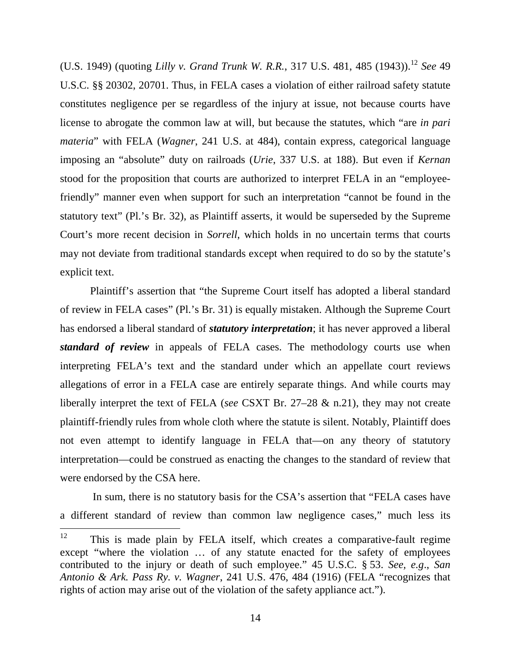(U.S. 1949) (quoting *Lilly v. Grand Trunk W. R.R.*, 317 U.S. 481, 485 (1943)).<sup>12</sup> *See* 49 U.S.C. §§ 20302, 20701. Thus, in FELA cases a violation of either railroad safety statute constitutes negligence per se regardless of the injury at issue, not because courts have license to abrogate the common law at will, but because the statutes, which "are *in pari materia*" with FELA (*Wagner*, 241 U.S. at 484), contain express, categorical language imposing an "absolute" duty on railroads (*Urie*, 337 U.S. at 188). But even if *Kernan* stood for the proposition that courts are authorized to interpret FELA in an "employeefriendly" manner even when support for such an interpretation "cannot be found in the statutory text" (Pl.'s Br. 32), as Plaintiff asserts, it would be superseded by the Supreme Court's more recent decision in *Sorrell*, which holds in no uncertain terms that courts may not deviate from traditional standards except when required to do so by the statute's explicit text.

Plaintiff's assertion that "the Supreme Court itself has adopted a liberal standard of review in FELA cases" (Pl.'s Br. 31) is equally mistaken. Although the Supreme Court has endorsed a liberal standard of *statutory interpretation*; it has never approved a liberal *standard of review* in appeals of FELA cases. The methodology courts use when interpreting FELA's text and the standard under which an appellate court reviews allegations of error in a FELA case are entirely separate things. And while courts may liberally interpret the text of FELA (*see* CSXT Br. 27–28 & n.21), they may not create plaintiff-friendly rules from whole cloth where the statute is silent. Notably, Plaintiff does not even attempt to identify language in FELA that—on any theory of statutory interpretation—could be construed as enacting the changes to the standard of review that were endorsed by the CSA here.

In sum, there is no statutory basis for the CSA's assertion that "FELA cases have a different standard of review than common law negligence cases," much less its

 $12$  This is made plain by FELA itself, which creates a comparative-fault regime except "where the violation … of any statute enacted for the safety of employees contributed to the injury or death of such employee." 45 U.S.C. § 53. *See, e.g*., *San Antonio & Ark. Pass Ry. v. Wagner*, 241 U.S. 476, 484 (1916) (FELA "recognizes that rights of action may arise out of the violation of the safety appliance act.").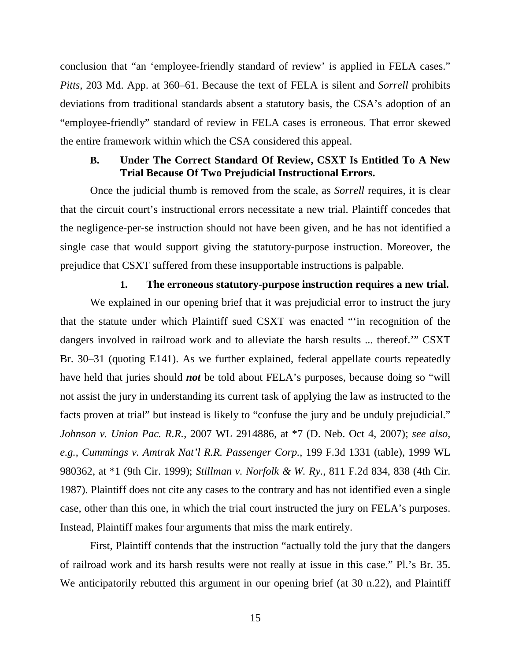conclusion that "an 'employee-friendly standard of review' is applied in FELA cases." *Pitts*, 203 Md. App. at 360–61. Because the text of FELA is silent and *Sorrell* prohibits deviations from traditional standards absent a statutory basis, the CSA's adoption of an "employee-friendly" standard of review in FELA cases is erroneous. That error skewed the entire framework within which the CSA considered this appeal.

#### **B. Under The Correct Standard Of Review, CSXT Is Entitled To A New Trial Because Of Two Prejudicial Instructional Errors.**

Once the judicial thumb is removed from the scale, as *Sorrell* requires, it is clear that the circuit court's instructional errors necessitate a new trial. Plaintiff concedes that the negligence-per-se instruction should not have been given, and he has not identified a single case that would support giving the statutory-purpose instruction. Moreover, the prejudice that CSXT suffered from these insupportable instructions is palpable.

#### **1. The erroneous statutory-purpose instruction requires a new trial.**

We explained in our opening brief that it was prejudicial error to instruct the jury that the statute under which Plaintiff sued CSXT was enacted "'in recognition of the dangers involved in railroad work and to alleviate the harsh results ... thereof.'" CSXT Br. 30–31 (quoting E141). As we further explained, federal appellate courts repeatedly have held that juries should *not* be told about FELA's purposes, because doing so "will not assist the jury in understanding its current task of applying the law as instructed to the facts proven at trial" but instead is likely to "confuse the jury and be unduly prejudicial." *Johnson v. Union Pac. R.R.*, 2007 WL 2914886, at \*7 (D. Neb. Oct 4, 2007); *see also, e.g.*, *Cummings v. Amtrak Nat'l R.R. Passenger Corp.*, 199 F.3d 1331 (table), 1999 WL 980362, at \*1 (9th Cir. 1999); *Stillman v. Norfolk & W. Ry.*, 811 F.2d 834, 838 (4th Cir. 1987). Plaintiff does not cite any cases to the contrary and has not identified even a single case, other than this one, in which the trial court instructed the jury on FELA's purposes. Instead, Plaintiff makes four arguments that miss the mark entirely.

First, Plaintiff contends that the instruction "actually told the jury that the dangers of railroad work and its harsh results were not really at issue in this case." Pl.'s Br. 35. We anticipatorily rebutted this argument in our opening brief (at 30 n.22), and Plaintiff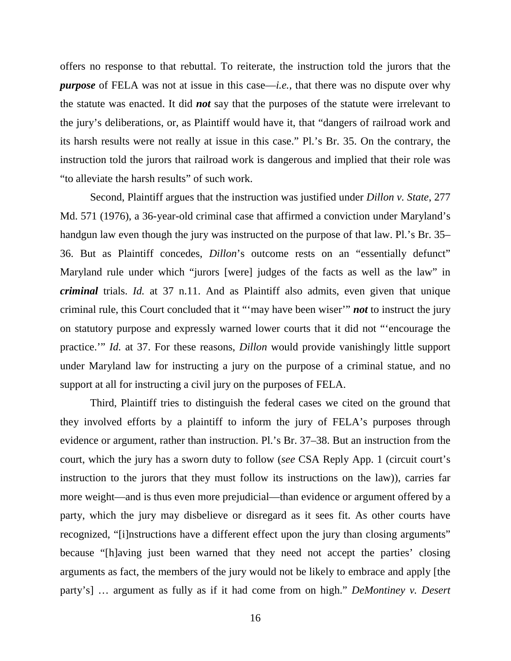offers no response to that rebuttal. To reiterate, the instruction told the jurors that the *purpose* of FELA was not at issue in this case—*i.e.*, that there was no dispute over why the statute was enacted. It did *not* say that the purposes of the statute were irrelevant to the jury's deliberations, or, as Plaintiff would have it, that "dangers of railroad work and its harsh results were not really at issue in this case." Pl.'s Br. 35. On the contrary, the instruction told the jurors that railroad work is dangerous and implied that their role was "to alleviate the harsh results" of such work.

Second, Plaintiff argues that the instruction was justified under *Dillon v. State*, 277 Md. 571 (1976), a 36-year-old criminal case that affirmed a conviction under Maryland's handgun law even though the jury was instructed on the purpose of that law. Pl.'s Br. 35– 36. But as Plaintiff concedes, *Dillon*'s outcome rests on an "essentially defunct" Maryland rule under which "jurors [were] judges of the facts as well as the law" in *criminal* trials. *Id.* at 37 n.11. And as Plaintiff also admits, even given that unique criminal rule, this Court concluded that it "'may have been wiser'" *not* to instruct the jury on statutory purpose and expressly warned lower courts that it did not "'encourage the practice.'" *Id.* at 37. For these reasons, *Dillon* would provide vanishingly little support under Maryland law for instructing a jury on the purpose of a criminal statue, and no support at all for instructing a civil jury on the purposes of FELA.

Third, Plaintiff tries to distinguish the federal cases we cited on the ground that they involved efforts by a plaintiff to inform the jury of FELA's purposes through evidence or argument, rather than instruction. Pl.'s Br. 37–38. But an instruction from the court, which the jury has a sworn duty to follow (*see* CSA Reply App. 1 (circuit court's instruction to the jurors that they must follow its instructions on the law)), carries far more weight—and is thus even more prejudicial—than evidence or argument offered by a party, which the jury may disbelieve or disregard as it sees fit. As other courts have recognized, "[i]nstructions have a different effect upon the jury than closing arguments" because "[h]aving just been warned that they need not accept the parties' closing arguments as fact, the members of the jury would not be likely to embrace and apply [the party's] … argument as fully as if it had come from on high." *DeMontiney v. Desert*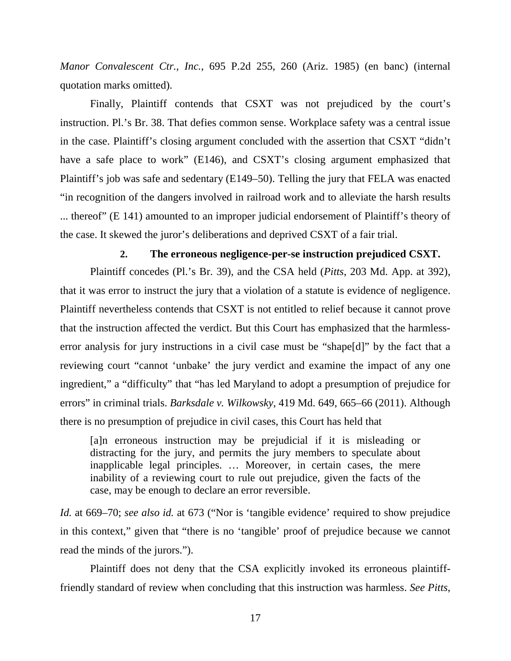*Manor Convalescent Ctr., Inc.*, 695 P.2d 255, 260 (Ariz. 1985) (en banc) (internal quotation marks omitted).

Finally, Plaintiff contends that CSXT was not prejudiced by the court's instruction. Pl.'s Br. 38. That defies common sense. Workplace safety was a central issue in the case. Plaintiff's closing argument concluded with the assertion that CSXT "didn't have a safe place to work" (E146), and CSXT's closing argument emphasized that Plaintiff's job was safe and sedentary (E149–50). Telling the jury that FELA was enacted "in recognition of the dangers involved in railroad work and to alleviate the harsh results ... thereof" (E 141) amounted to an improper judicial endorsement of Plaintiff's theory of the case. It skewed the juror's deliberations and deprived CSXT of a fair trial.

#### **2. The erroneous negligence-per-se instruction prejudiced CSXT.**

Plaintiff concedes (Pl.'s Br. 39), and the CSA held (*Pitts*, 203 Md. App. at 392), that it was error to instruct the jury that a violation of a statute is evidence of negligence. Plaintiff nevertheless contends that CSXT is not entitled to relief because it cannot prove that the instruction affected the verdict. But this Court has emphasized that the harmlesserror analysis for jury instructions in a civil case must be "shape[d]" by the fact that a reviewing court "cannot 'unbake' the jury verdict and examine the impact of any one ingredient," a "difficulty" that "has led Maryland to adopt a presumption of prejudice for errors" in criminal trials. *Barksdale v. Wilkowsky*, 419 Md. 649, 665–66 (2011). Although there is no presumption of prejudice in civil cases, this Court has held that

[a]n erroneous instruction may be prejudicial if it is misleading or distracting for the jury, and permits the jury members to speculate about inapplicable legal principles. … Moreover, in certain cases, the mere inability of a reviewing court to rule out prejudice, given the facts of the case, may be enough to declare an error reversible.

*Id.* at 669–70; *see also id.* at 673 ("Nor is 'tangible evidence' required to show prejudice in this context," given that "there is no 'tangible' proof of prejudice because we cannot read the minds of the jurors.").

Plaintiff does not deny that the CSA explicitly invoked its erroneous plaintifffriendly standard of review when concluding that this instruction was harmless. *See Pitts*,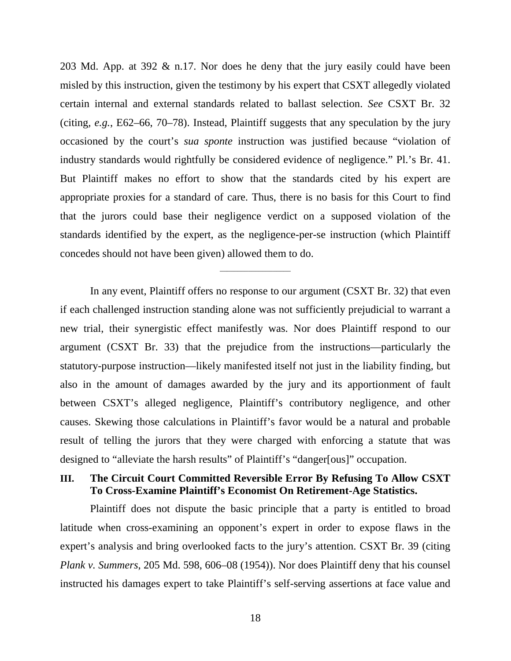203 Md. App. at 392 & n.17. Nor does he deny that the jury easily could have been misled by this instruction, given the testimony by his expert that CSXT allegedly violated certain internal and external standards related to ballast selection. *See* CSXT Br. 32 (citing*, e.g.*, E62–66, 70–78). Instead, Plaintiff suggests that any speculation by the jury occasioned by the court's *sua sponte* instruction was justified because "violation of industry standards would rightfully be considered evidence of negligence." Pl.'s Br. 41. But Plaintiff makes no effort to show that the standards cited by his expert are appropriate proxies for a standard of care. Thus, there is no basis for this Court to find that the jurors could base their negligence verdict on a supposed violation of the standards identified by the expert, as the negligence-per-se instruction (which Plaintiff concedes should not have been given) allowed them to do.

In any event, Plaintiff offers no response to our argument (CSXT Br. 32) that even if each challenged instruction standing alone was not sufficiently prejudicial to warrant a new trial, their synergistic effect manifestly was. Nor does Plaintiff respond to our argument (CSXT Br. 33) that the prejudice from the instructions—particularly the statutory-purpose instruction—likely manifested itself not just in the liability finding, but also in the amount of damages awarded by the jury and its apportionment of fault between CSXT's alleged negligence, Plaintiff's contributory negligence, and other causes. Skewing those calculations in Plaintiff's favor would be a natural and probable result of telling the jurors that they were charged with enforcing a statute that was designed to "alleviate the harsh results" of Plaintiff's "danger[ous]" occupation.

\_\_\_\_\_\_\_\_\_\_\_\_\_\_\_\_\_\_\_\_

### **III. The Circuit Court Committed Reversible Error By Refusing To Allow CSXT To Cross-Examine Plaintiff's Economist On Retirement-Age Statistics.**

Plaintiff does not dispute the basic principle that a party is entitled to broad latitude when cross-examining an opponent's expert in order to expose flaws in the expert's analysis and bring overlooked facts to the jury's attention. CSXT Br. 39 (citing *Plank v. Summers*, 205 Md. 598, 606–08 (1954)). Nor does Plaintiff deny that his counsel instructed his damages expert to take Plaintiff's self-serving assertions at face value and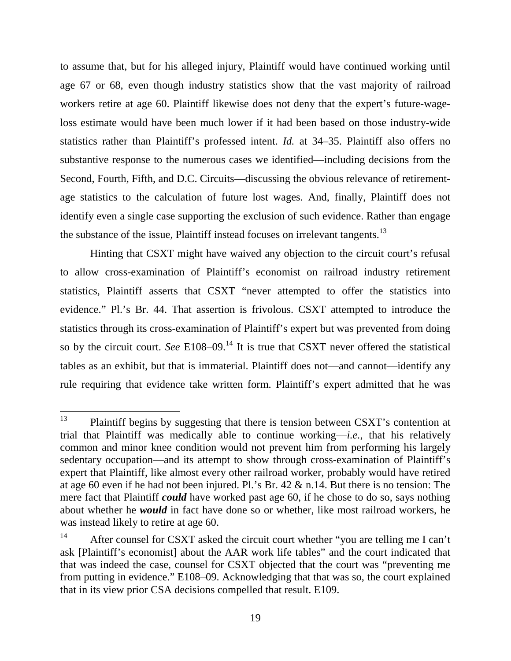to assume that, but for his alleged injury, Plaintiff would have continued working until age 67 or 68, even though industry statistics show that the vast majority of railroad workers retire at age 60. Plaintiff likewise does not deny that the expert's future-wageloss estimate would have been much lower if it had been based on those industry-wide statistics rather than Plaintiff's professed intent. *Id.* at 34–35. Plaintiff also offers no substantive response to the numerous cases we identified—including decisions from the Second, Fourth, Fifth, and D.C. Circuits—discussing the obvious relevance of retirementage statistics to the calculation of future lost wages. And, finally, Plaintiff does not identify even a single case supporting the exclusion of such evidence. Rather than engage the substance of the issue, Plaintiff instead focuses on irrelevant tangents.<sup>13</sup>

Hinting that CSXT might have waived any objection to the circuit court's refusal to allow cross-examination of Plaintiff's economist on railroad industry retirement statistics, Plaintiff asserts that CSXT "never attempted to offer the statistics into evidence." Pl.'s Br. 44. That assertion is frivolous. CSXT attempted to introduce the statistics through its cross-examination of Plaintiff's expert but was prevented from doing so by the circuit court. *See* E108–09.<sup>14</sup> It is true that CSXT never offered the statistical tables as an exhibit, but that is immaterial. Plaintiff does not—and cannot—identify any rule requiring that evidence take written form. Plaintiff's expert admitted that he was

<sup>&</sup>lt;sup>13</sup> Plaintiff begins by suggesting that there is tension between CSXT's contention at trial that Plaintiff was medically able to continue working—*i.e.*, that his relatively common and minor knee condition would not prevent him from performing his largely sedentary occupation—and its attempt to show through cross-examination of Plaintiff's expert that Plaintiff, like almost every other railroad worker, probably would have retired at age 60 even if he had not been injured. Pl.'s Br. 42 & n.14. But there is no tension: The mere fact that Plaintiff *could* have worked past age 60, if he chose to do so, says nothing about whether he *would* in fact have done so or whether, like most railroad workers, he was instead likely to retire at age 60.

<sup>&</sup>lt;sup>14</sup> After counsel for CSXT asked the circuit court whether "you are telling me I can't ask [Plaintiff's economist] about the AAR work life tables" and the court indicated that that was indeed the case, counsel for CSXT objected that the court was "preventing me from putting in evidence." E108–09. Acknowledging that that was so, the court explained that in its view prior CSA decisions compelled that result. E109.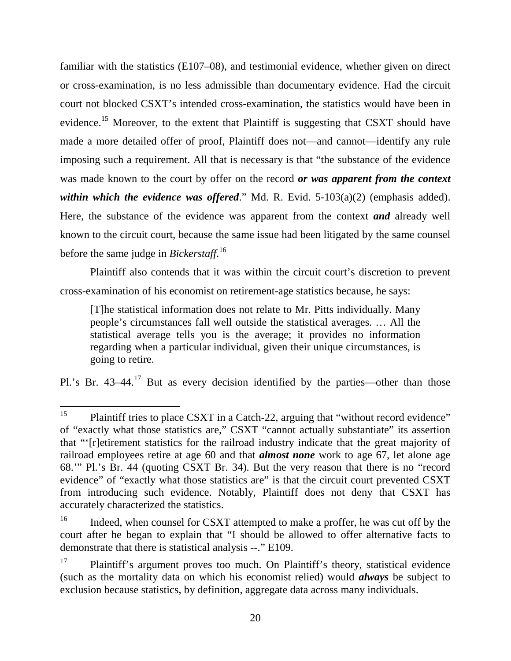familiar with the statistics (E107–08), and testimonial evidence, whether given on direct or cross-examination, is no less admissible than documentary evidence. Had the circuit court not blocked CSXT's intended cross-examination, the statistics would have been in evidence.<sup>15</sup> Moreover, to the extent that Plaintiff is suggesting that CSXT should have made a more detailed offer of proof, Plaintiff does not—and cannot—identify any rule imposing such a requirement. All that is necessary is that "the substance of the evidence was made known to the court by offer on the record *or was apparent from the context within which the evidence was offered.*" Md. R. Evid. 5-103(a)(2) (emphasis added). Here, the substance of the evidence was apparent from the context *and* already well known to the circuit court, because the same issue had been litigated by the same counsel before the same judge in *Bickerstaff*. 16

Plaintiff also contends that it was within the circuit court's discretion to prevent cross-examination of his economist on retirement-age statistics because, he says:

[T]he statistical information does not relate to Mr. Pitts individually. Many people's circumstances fall well outside the statistical averages. … All the statistical average tells you is the average; it provides no information regarding when a particular individual, given their unique circumstances, is going to retire.

Pl.'s Br.  $43-44$ <sup>17</sup> But as every decision identified by the parties—other than those

<sup>&</sup>lt;sup>15</sup> Plaintiff tries to place CSXT in a Catch-22, arguing that "without record evidence" of "exactly what those statistics are," CSXT "cannot actually substantiate" its assertion that "'[r]etirement statistics for the railroad industry indicate that the great majority of railroad employees retire at age 60 and that *almost none* work to age 67, let alone age 68.'" Pl.'s Br. 44 (quoting CSXT Br. 34). But the very reason that there is no "record evidence" of "exactly what those statistics are" is that the circuit court prevented CSXT from introducing such evidence. Notably, Plaintiff does not deny that CSXT has accurately characterized the statistics.

<sup>&</sup>lt;sup>16</sup> Indeed, when counsel for CSXT attempted to make a proffer, he was cut off by the court after he began to explain that "I should be allowed to offer alternative facts to demonstrate that there is statistical analysis --." E109.

<sup>&</sup>lt;sup>17</sup> Plaintiff's argument proves too much. On Plaintiff's theory, statistical evidence (such as the mortality data on which his economist relied) would *always* be subject to exclusion because statistics, by definition, aggregate data across many individuals.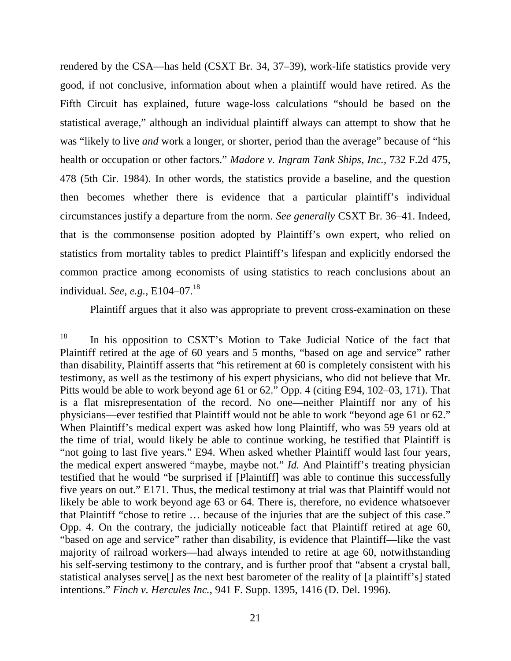rendered by the CSA—has held (CSXT Br. 34, 37–39), work-life statistics provide very good, if not conclusive, information about when a plaintiff would have retired. As the Fifth Circuit has explained, future wage-loss calculations "should be based on the statistical average," although an individual plaintiff always can attempt to show that he was "likely to live *and* work a longer, or shorter, period than the average" because of "his health or occupation or other factors." *Madore v. Ingram Tank Ships, Inc.*, 732 F.2d 475, 478 (5th Cir. 1984). In other words, the statistics provide a baseline, and the question then becomes whether there is evidence that a particular plaintiff's individual circumstances justify a departure from the norm. *See generally* CSXT Br. 36–41. Indeed, that is the commonsense position adopted by Plaintiff's own expert, who relied on statistics from mortality tables to predict Plaintiff's lifespan and explicitly endorsed the common practice among economists of using statistics to reach conclusions about an individual. *See, e.g.*, E104–07.<sup>18</sup>

Plaintiff argues that it also was appropriate to prevent cross-examination on these

<sup>&</sup>lt;sup>18</sup> In his opposition to CSXT's Motion to Take Judicial Notice of the fact that Plaintiff retired at the age of 60 years and 5 months, "based on age and service" rather than disability, Plaintiff asserts that "his retirement at 60 is completely consistent with his testimony, as well as the testimony of his expert physicians, who did not believe that Mr. Pitts would be able to work beyond age 61 or 62." Opp. 4 (citing E94, 102–03, 171). That is a flat misrepresentation of the record. No one—neither Plaintiff nor any of his physicians—ever testified that Plaintiff would not be able to work "beyond age 61 or 62." When Plaintiff's medical expert was asked how long Plaintiff, who was 59 years old at the time of trial, would likely be able to continue working, he testified that Plaintiff is "not going to last five years." E94. When asked whether Plaintiff would last four years, the medical expert answered "maybe, maybe not." *Id.* And Plaintiff's treating physician testified that he would "be surprised if [Plaintiff] was able to continue this successfully five years on out." E171. Thus, the medical testimony at trial was that Plaintiff would not likely be able to work beyond age 63 or 64. There is, therefore, no evidence whatsoever that Plaintiff "chose to retire … because of the injuries that are the subject of this case." Opp. 4. On the contrary, the judicially noticeable fact that Plaintiff retired at age 60, "based on age and service" rather than disability, is evidence that Plaintiff—like the vast majority of railroad workers—had always intended to retire at age 60, notwithstanding his self-serving testimony to the contrary, and is further proof that "absent a crystal ball, statistical analyses serve[] as the next best barometer of the reality of [a plaintiff's] stated intentions." *Finch v. Hercules Inc.*, 941 F. Supp. 1395, 1416 (D. Del. 1996).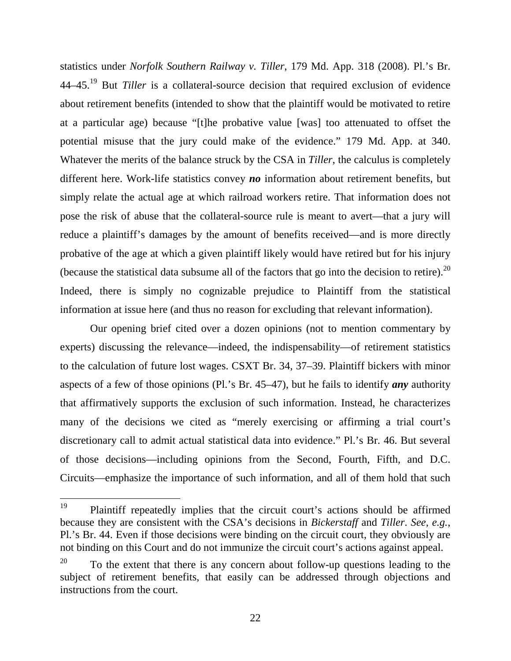statistics under *Norfolk Southern Railway v. Tiller*, 179 Md. App. 318 (2008). Pl.'s Br. 44–45.<sup>19</sup> But *Tiller* is a collateral-source decision that required exclusion of evidence about retirement benefits (intended to show that the plaintiff would be motivated to retire at a particular age) because "[t]he probative value [was] too attenuated to offset the potential misuse that the jury could make of the evidence." 179 Md. App. at 340. Whatever the merits of the balance struck by the CSA in *Tiller*, the calculus is completely different here. Work-life statistics convey *no* information about retirement benefits, but simply relate the actual age at which railroad workers retire. That information does not pose the risk of abuse that the collateral-source rule is meant to avert—that a jury will reduce a plaintiff's damages by the amount of benefits received—and is more directly probative of the age at which a given plaintiff likely would have retired but for his injury (because the statistical data subsume all of the factors that go into the decision to retire).<sup>20</sup> Indeed, there is simply no cognizable prejudice to Plaintiff from the statistical information at issue here (and thus no reason for excluding that relevant information).

Our opening brief cited over a dozen opinions (not to mention commentary by experts) discussing the relevance—indeed, the indispensability—of retirement statistics to the calculation of future lost wages. CSXT Br. 34, 37–39. Plaintiff bickers with minor aspects of a few of those opinions (Pl.'s Br. 45–47), but he fails to identify *any* authority that affirmatively supports the exclusion of such information. Instead, he characterizes many of the decisions we cited as "merely exercising or affirming a trial court's discretionary call to admit actual statistical data into evidence." Pl.'s Br. 46. But several of those decisions—including opinions from the Second, Fourth, Fifth, and D.C. Circuits—emphasize the importance of such information, and all of them hold that such

<sup>19</sup> Plaintiff repeatedly implies that the circuit court's actions should be affirmed because they are consistent with the CSA's decisions in *Bickerstaff* and *Tiller*. *See, e.g.*, Pl.'s Br. 44. Even if those decisions were binding on the circuit court, they obviously are not binding on this Court and do not immunize the circuit court's actions against appeal.

 $20$  To the extent that there is any concern about follow-up questions leading to the subject of retirement benefits, that easily can be addressed through objections and instructions from the court.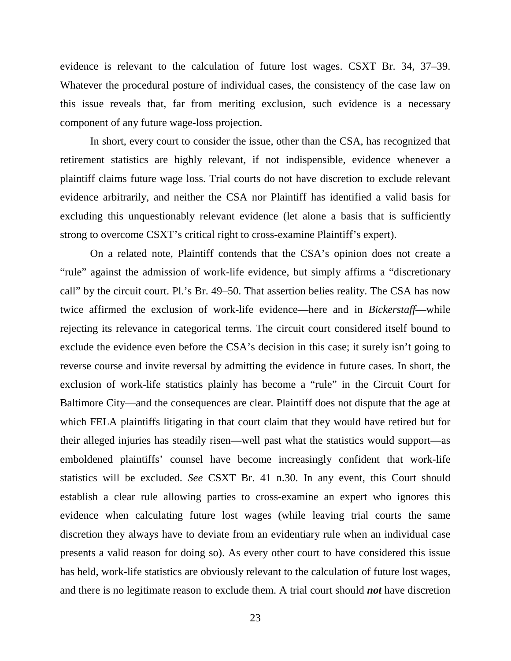evidence is relevant to the calculation of future lost wages. CSXT Br. 34, 37–39. Whatever the procedural posture of individual cases, the consistency of the case law on this issue reveals that, far from meriting exclusion, such evidence is a necessary component of any future wage-loss projection.

In short, every court to consider the issue, other than the CSA, has recognized that retirement statistics are highly relevant, if not indispensible, evidence whenever a plaintiff claims future wage loss. Trial courts do not have discretion to exclude relevant evidence arbitrarily, and neither the CSA nor Plaintiff has identified a valid basis for excluding this unquestionably relevant evidence (let alone a basis that is sufficiently strong to overcome CSXT's critical right to cross-examine Plaintiff's expert).

On a related note, Plaintiff contends that the CSA's opinion does not create a "rule" against the admission of work-life evidence, but simply affirms a "discretionary call" by the circuit court. Pl.'s Br. 49–50. That assertion belies reality. The CSA has now twice affirmed the exclusion of work-life evidence—here and in *Bickerstaff*—while rejecting its relevance in categorical terms. The circuit court considered itself bound to exclude the evidence even before the CSA's decision in this case; it surely isn't going to reverse course and invite reversal by admitting the evidence in future cases. In short, the exclusion of work-life statistics plainly has become a "rule" in the Circuit Court for Baltimore City—and the consequences are clear. Plaintiff does not dispute that the age at which FELA plaintiffs litigating in that court claim that they would have retired but for their alleged injuries has steadily risen—well past what the statistics would support—as emboldened plaintiffs' counsel have become increasingly confident that work-life statistics will be excluded. *See* CSXT Br. 41 n.30. In any event, this Court should establish a clear rule allowing parties to cross-examine an expert who ignores this evidence when calculating future lost wages (while leaving trial courts the same discretion they always have to deviate from an evidentiary rule when an individual case presents a valid reason for doing so). As every other court to have considered this issue has held, work-life statistics are obviously relevant to the calculation of future lost wages, and there is no legitimate reason to exclude them. A trial court should *not* have discretion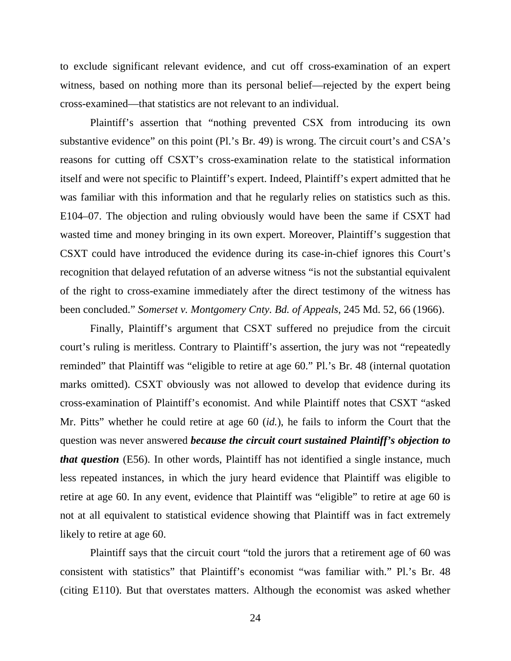to exclude significant relevant evidence, and cut off cross-examination of an expert witness, based on nothing more than its personal belief—rejected by the expert being cross-examined—that statistics are not relevant to an individual.

Plaintiff's assertion that "nothing prevented CSX from introducing its own substantive evidence" on this point (Pl.'s Br. 49) is wrong. The circuit court's and CSA's reasons for cutting off CSXT's cross-examination relate to the statistical information itself and were not specific to Plaintiff's expert. Indeed, Plaintiff's expert admitted that he was familiar with this information and that he regularly relies on statistics such as this. E104–07. The objection and ruling obviously would have been the same if CSXT had wasted time and money bringing in its own expert. Moreover, Plaintiff's suggestion that CSXT could have introduced the evidence during its case-in-chief ignores this Court's recognition that delayed refutation of an adverse witness "is not the substantial equivalent of the right to cross-examine immediately after the direct testimony of the witness has been concluded." *Somerset v. Montgomery Cnty. Bd. of Appeals*, 245 Md. 52, 66 (1966).

Finally, Plaintiff's argument that CSXT suffered no prejudice from the circuit court's ruling is meritless. Contrary to Plaintiff's assertion, the jury was not "repeatedly reminded" that Plaintiff was "eligible to retire at age 60." Pl.'s Br. 48 (internal quotation marks omitted). CSXT obviously was not allowed to develop that evidence during its cross-examination of Plaintiff's economist. And while Plaintiff notes that CSXT "asked Mr. Pitts" whether he could retire at age 60 (*id.*), he fails to inform the Court that the question was never answered *because the circuit court sustained Plaintiff's objection to that question* (E56). In other words, Plaintiff has not identified a single instance, much less repeated instances, in which the jury heard evidence that Plaintiff was eligible to retire at age 60. In any event, evidence that Plaintiff was "eligible" to retire at age 60 is not at all equivalent to statistical evidence showing that Plaintiff was in fact extremely likely to retire at age 60.

Plaintiff says that the circuit court "told the jurors that a retirement age of 60 was consistent with statistics" that Plaintiff's economist "was familiar with." Pl.'s Br. 48 (citing E110). But that overstates matters. Although the economist was asked whether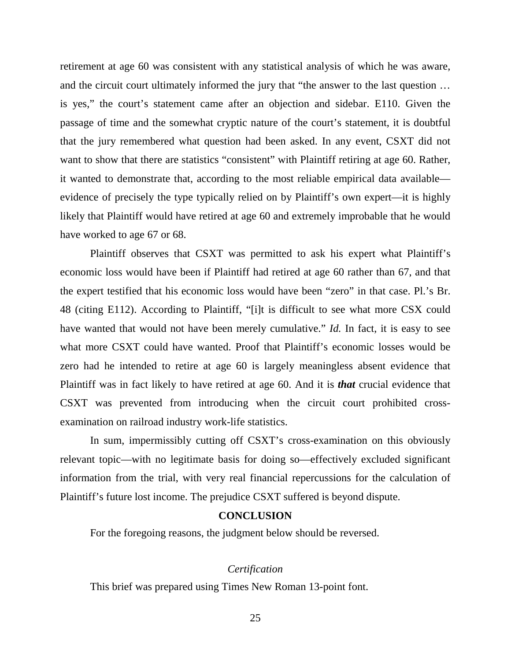retirement at age 60 was consistent with any statistical analysis of which he was aware, and the circuit court ultimately informed the jury that "the answer to the last question … is yes," the court's statement came after an objection and sidebar. E110. Given the passage of time and the somewhat cryptic nature of the court's statement, it is doubtful that the jury remembered what question had been asked. In any event, CSXT did not want to show that there are statistics "consistent" with Plaintiff retiring at age 60. Rather, it wanted to demonstrate that, according to the most reliable empirical data available evidence of precisely the type typically relied on by Plaintiff's own expert—it is highly likely that Plaintiff would have retired at age 60 and extremely improbable that he would have worked to age 67 or 68.

Plaintiff observes that CSXT was permitted to ask his expert what Plaintiff's economic loss would have been if Plaintiff had retired at age 60 rather than 67, and that the expert testified that his economic loss would have been "zero" in that case. Pl.'s Br. 48 (citing E112). According to Plaintiff, "[i]t is difficult to see what more CSX could have wanted that would not have been merely cumulative." *Id.* In fact, it is easy to see what more CSXT could have wanted. Proof that Plaintiff's economic losses would be zero had he intended to retire at age 60 is largely meaningless absent evidence that Plaintiff was in fact likely to have retired at age 60. And it is *that* crucial evidence that CSXT was prevented from introducing when the circuit court prohibited crossexamination on railroad industry work-life statistics.

In sum, impermissibly cutting off CSXT's cross-examination on this obviously relevant topic—with no legitimate basis for doing so—effectively excluded significant information from the trial, with very real financial repercussions for the calculation of Plaintiff's future lost income. The prejudice CSXT suffered is beyond dispute.

#### **CONCLUSION**

For the foregoing reasons, the judgment below should be reversed.

#### *Certification*

This brief was prepared using Times New Roman 13-point font.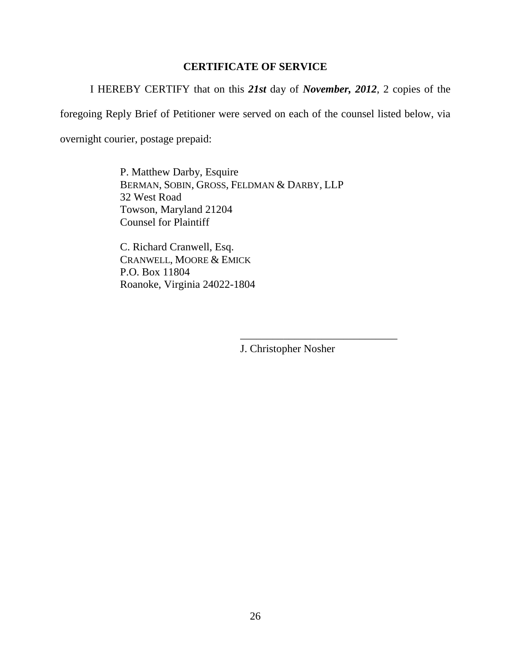## **CERTIFICATE OF SERVICE**

I HEREBY CERTIFY that on this *21st* day of *November, 2012*, 2 copies of the

foregoing Reply Brief of Petitioner were served on each of the counsel listed below, via

overnight courier, postage prepaid:

P. Matthew Darby, Esquire BERMAN, SOBIN, GROSS, FELDMAN & DARBY, LLP 32 West Road Towson, Maryland 21204 Counsel for Plaintiff

C. Richard Cranwell, Esq. CRANWELL, MOORE & EMICK P.O. Box 11804 Roanoke, Virginia 24022-1804

J. Christopher Nosher

\_\_\_\_\_\_\_\_\_\_\_\_\_\_\_\_\_\_\_\_\_\_\_\_\_\_\_\_\_